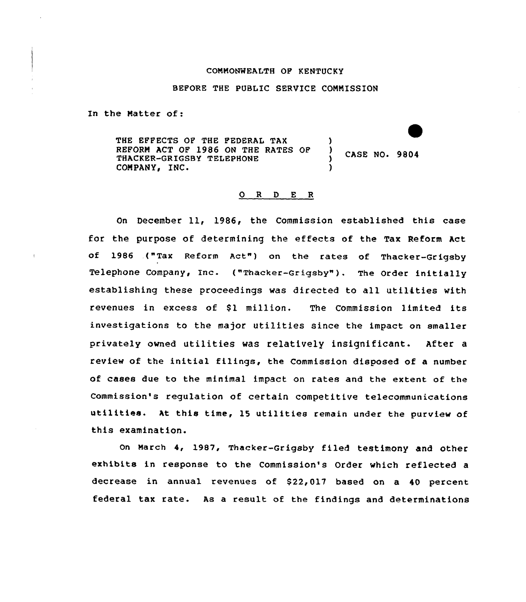### COMMONWEALTH OF KENTUCKY

### BEFORE THE PUBLIC SERVICE CONNISSION

In the Matter of:

THE EFFECTS OF THE FEDERAL TAX (1)<br>REFORM ACT OF 1986 ON THE RATES OF (1) REFORM ACT OF 1986 ON THE RATES OF CASE NO. 9804 THACKER-GRIGSBY TELEPHONE ) COMPANY, INC.

### ORDER

On December 11, 1986, the Commission established this case for the purpose of determining the effects of the Tax Reform Act of 1986 .("Tax Reform Act") on the rates of Thacker-Grigsby Telephone Company, Inc. ("Thacker-Grigsby"). The Order initially establishing these proceedings was directed to all utilities with revenues in excess of \$1 million. The Commission limited its investigations to the major utilities since the impact on smaller privately owned utilities was relatively insignificant. After <sup>a</sup> review of the initial filings, the Commission disposed of a number of cases due to the minimal impact on rates and the extent of the Commission's requlation of certain competitive telecommunications utilities. At this time, <sup>15</sup> utilities remain under the purview of this examination.

on March 4, 1987, Thacker-Grigsby filed testimony and other exhibits in response to the Commission's Order which reflected a decrease in annual revenues of \$22,017 based on a 40 percent federal tax rate. As a result of the findings and determinations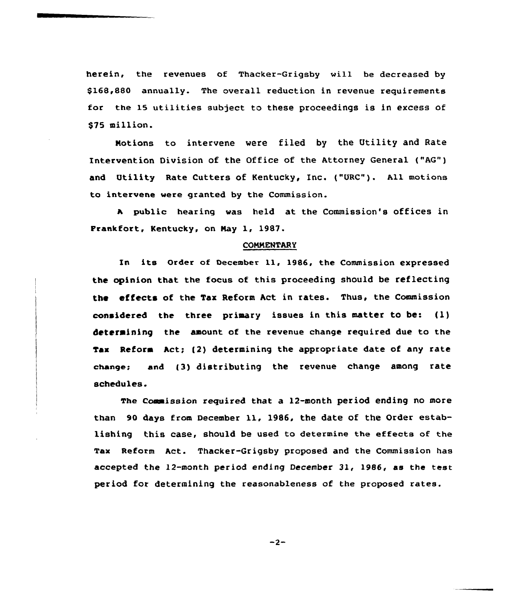herein, the revenues of Thacker-Grigsby will be decreased by \$168,880 annually. The overall reduction in revenue requirements for the 15 utilities subject to these proceedings is in excess of \$75 million.

Notions to intervene were filed by the Utility and Rate Intervention Division of the Office of the Attorney General ("AG") and Utility Rate Cutters of Kentucky, Inc. ("URC"). All motions to intervene were granted by the Commission.

<sup>A</sup> public hearing was held at the Commission's offices in Prankfort. Kentucky, on Nay 1, 19&7.

### **COMMENTARY**

In its Order of December ll, 1986, the Commission expressed the opinion that the focus of this proceeding should be reflecting the effects of the Tax Reform Act in rates. Thus, the Commission considered the three primary issues in this matter to be: {l) determining the amount of the revenue change required due to the Tax Reform Act; (2) determining the appropriate date of any rate change; and (3) distributing the revenue change among rate schedules.

The commission required that a l2-month period ending no more than <sup>90</sup> days from December ll, 1986, the date of the Order establishing this case, should be used to determine the effects of the Tax Reform Act. Thacker-Grigsby proposed and the Commission has accepted the 12-month period ending December 31, 1986, as the test period for determining the reasonableness of the proposed rates.

 $-2-$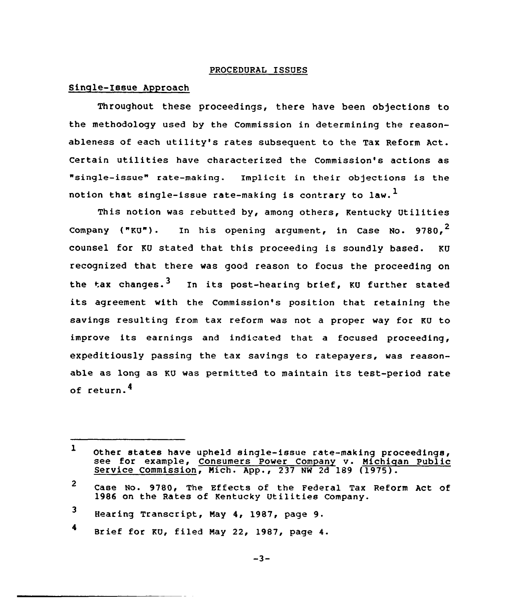### PROCEDURAL ISSUES

# Sinqle-Issue Approach

Throughout these proceedings, there have been objections to the methodology used by the Commission in determining the reasonableness of each utility's rates subsequent to the Tax Reform Act. Certain utilities have characterized the Commission's actions as "single-issue" rate-making. Implicit in their objections is the notion that single-issue rate-making is contrary to law.<sup>1</sup>

This notion was rebutted by, among others, Kentucky Utilities Company ("KU"). In his opening argument, in Case No. 9780,  $2$ counsel for KU stated that this proceeding is soundly based. KU recognized that there was good reason to focus the proceeding on the tax changes.<sup>3</sup> In its post-hearing brief, KU further stated its agreement with the Commission's position that retaining the savings resulting from tax reform was not a proper way for KU to improve its earnings and indicated that <sup>a</sup> focused proceeding, expeditiously passing the tax savings to ratepayers, was reasonable as long as KU was permitted to maintain its test-period rate of return.<sup>4</sup>

<sup>1</sup> Other states have upheld single-issue rate-making proceedings, see for example, Consumers Power Company v. Michigan Public Service Commission, Mich. App., 237 NW 2d 189 (1975).

<sup>2</sup> Case No. 9780, The Effects of the Federal Tax Reform Act of 1986 on the Rates of Kentucky Utilities Company.

<sup>3</sup> Hearing Transcript, May 4, 1987, page 9.

<sup>4</sup> Brief for KU, filed May 22, 1987, page 4.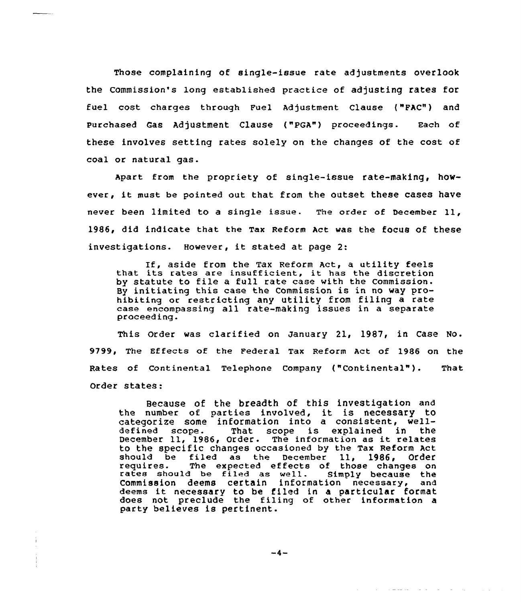Those complaining of single-issue rate adjustments overlook the Commission's long established practice of adjusting rates for fuel cost charges through Fuel Adjustment clause ("FAc") and purchased cas Adjustment clause ("pGA") proceedings. Each of these involves setting rates solely on the changes of the cost of coal or natural gas.

Apart from the propriety of single-issue rate-making, however, it must be pointed out that from the outset these cases have never been limited to <sup>a</sup> single issue. The order of December 11, 1986, did indicate that the Tax Reform Act was the focus of these investigations. However, it stated at page 2:

If, aside from the Tax Reform Act, <sup>a</sup> utility feels that its rates are insufficient, it has the discretion by statute to file <sup>a</sup> full rate case with the Commission. By initiating this case the Commission is in no way prohibiting or restricting any utility from filing a rate case encompassing all rate-making issues in a separate proceeding.

This Order was clarified on January 21, 1987, in Case No. 9799, The Effects of the Federal Tax Reform Act of 1986 on the Rates of Continental Telephone Company ("Continental"). That Order states:

Because of the breadth of this investigation and because of the breaden of this investigation and categorize some information into a consistent, welldefined scope. That scope is explained in the December ll, 1986, Order. The information as it relates to the specific changes occasioned by the Tax Reform Act<br>should be filed as the December 11, 1986, Order should be filed as the December 11, 1986, Order requires. The expected effects of those changes on rates should be filed as well. Simply because the Commission deems certain information necessary, and deems it necessary to be filed in <sup>a</sup> particular format does not preclude the filing of other information a party believes is pertinent.

 $-4-$ 

الموادي والمستحدث والمتعاون والمستعادة والمتحدث والمنافر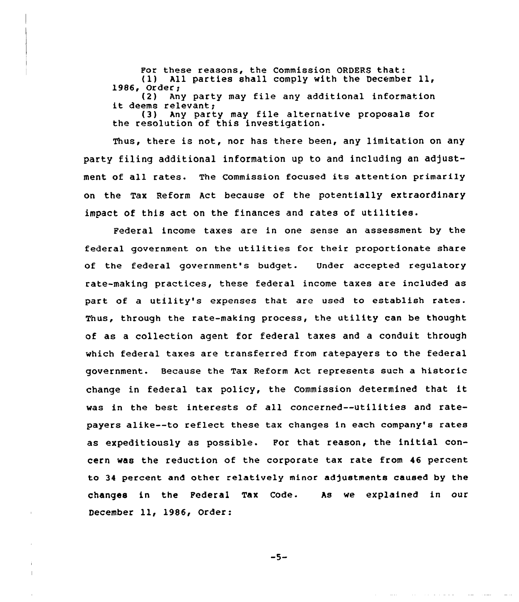For these reasons, the Commission ORDERS that:<br>(1) All parties shall comply with the Decembe All parties shall comply with the December 11, 1986, Order;<br>(2) An (2) Any party may file any additional information<br>it deems relevant;<br>(3) Any party may file alternative proposals for Any party may file alternative proposals for the resolution of this investigation.

Thus, there is not, nor has there been, any limitation on any party filing additional information up to and including an adjustment of all rates. The Commission focused its attention primarily on the Tax Reform Act because of the potentially extraordinary impact of this act on the finances and rates of utilities.

Federal income taxes are in one sense an assessment by the federal government on the utilities for their proportionate share of the federal government's budget. Under accepted regulatory rate-making practices, these federal income taxes are included as part of a utility's expenses that are used to establish rates. Thus, through the rate-making process, the utility can be thought of as a collection agent for federal taxes and a conduit through which federal taxes are transferred from catepayers to the federal government. Because the Tax Reform Act represents such a historic change in federal tax policy, the Commission determined that it was in the best interests of all concerned--utilities and ratepayers alike--to reflect these tax changes in each company's rates as expeditiously as possible. For that reason, the initial concern was the reduction of the corporate tax rate from 46 percent to 34 percent and other relatively minor adjustments caused by the changes in the Federal Tax Code. As we explained in our December 11, 1986, Order:

 $-5-$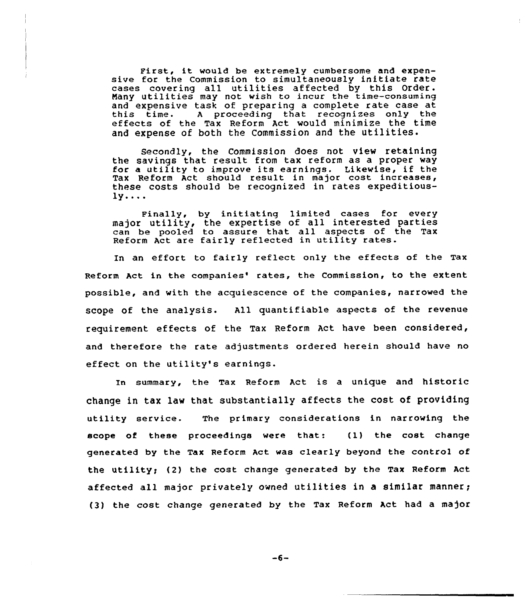First, it would be extremely cumbersome and expensive for the Commission to simultaneously initiate rate cases covering all utilities affected by this Order. Nany utilities may not wish to incur the time-consuming and expensive task of preparing a complete rate case at A proceeding that recognizes only the effects of the Tax Reform Act would minimize the time and expense of both the Commission and the utilities.

Secondly, the Commission does not view retaining the savings that result from tax reform as a proper way for <sup>a</sup> utility to improve its earnings. Likewise, if the Tax Reform Act should result in major cost increases, these costs should be recognized in rates expeditious- $1y \ldots$ 

Finally, by initiating limited cases for every major utility, the expertise of all interested parties can be pooled to assure that all aspects of the Tax Reform Act are fairly reflected in utility rates.

In an effort to fairly reflect only the effects of the Tax Reform Act in the companies' rates, the Commission, to the extent possible, and with the acquiescence of the companies, narrowed the scope of the analysis. All quantifiable aspects of the revenue requirement effects of the Tax Reform Act have been considered, and therefore the rate adjustments ordered herein should have no effect on the utility's earnings.

In summary, the Tax Reform Act is a unique and historic change in tax law that substantially affects the cost of providing utility service. The primary considerations in narrowing the scope of these proceedings were that: (l) the cost change generated by the Tax Reform Act was clearly beyond the control of the utility; (2) the cost change generated by the Tax Reform Act affected all major privately owned utilities in <sup>a</sup> similar manner; (3) the cost change generated by the Tax Reform Act had a major

 $-6-$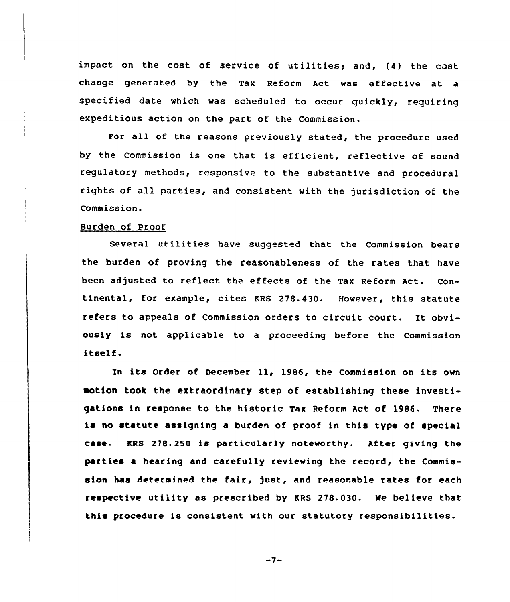impact on the cost of service of utilities; and, (4) the cost change generated by the Tax Reform Act was effective at a specified date which was scheduled to occur quickly, requiring expeditious action on the part of the Commission.

For all of the reasons previously stated, the procedure used by the Commission is one that is efficient, reflective of sound requlatory methods, responsive to the substantive and procedural rights of all parties, and consistent with the jurisdiction of the Commission.

### Burden of Proof

Several utilities have suggested that the Commission bears the burden of proving the reasonableness of the rates that have been adjusted to reflect the effects of the Tax Reform Act. Continental, for example, cites KRS 278.430. However, this statute refers to appeals of Commission orders to circuit court. It obviously is not applicable to a proceeding before the Commission itself.

In its Order of December ll, 1986, the Commission on its own motion took the extraordinary step of establishing these investigations in response to the historic Tax Reform Act of 1986. There is no statute assigning a burden of proof in this type of special case- MRS 278. 250 is particularly noteworthy. After giving the parties a hearing and carefully reviewing the record, the Commission has determined the fair, just, and reasonable rates for each respective utility as prescribed by KRS 278.030. Ne believe that this procedure is consistent with our statutory responsibilities.

 $-7-$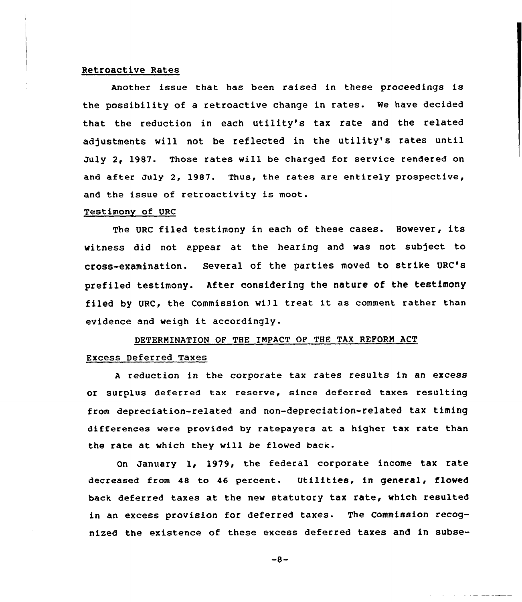# Retroactive Rates

Another issue that has been raised in these proceedings is the possibility of a retroactive change in rates. We have decided that the reduction in each utility's tax rate and the related adjustments will not be reflected in the utility's rates until July 2, 1987. Those rates will be charged for service rendered on and after July 2, 1987. Thus, the rates are entirely prospective, and the issue of retroactivity is moot.

### Testimony of URC

The URC filed testimony in each of these cases. However, its witness did not appear at the hearing and was not subject to cross-examination. Several of the parties moved to strike URC's prefiled testimony. After considering the nature of the testimony filed by URC, the Commission will treat it as comment rather than evidence and weigh it accordingly.

# DETERNINATION OF THE INPACT OP THE TAX REPORN ACT Excess Deferred Taxes

<sup>A</sup> reduction in the corporate tax rates results in an excess or surplus deferred tax reserve, since deferred taxes resulting from depreciation-related and non-depreciation-related tax timing differences were provided by ratepayers at a higher tax rate than the rate at which they will be flowed back.

On January 1, 1979, the federal corporate income tax rate decreased from 48 to 46 percent. Utilities, in general, flowed back deferred taxes at the new statutory tax rate, which resulted in an excess provision for deferred taxes. The Commission recognized the existence of these excess deferred taxes and in subse-

 $-8-$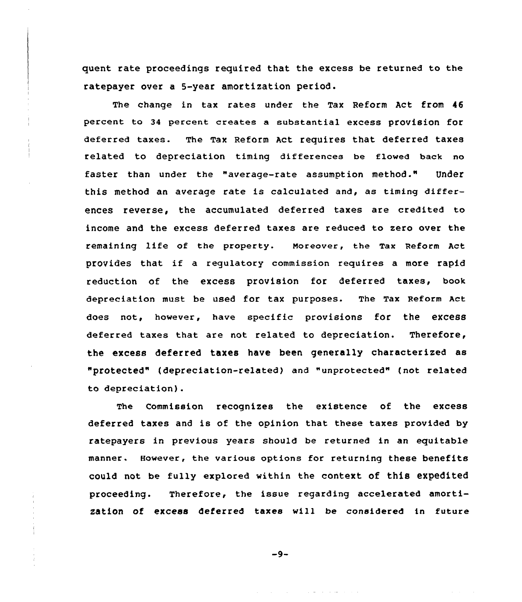quent rate proceedings required that the excess be returned to the ratepayer over a 5-year amortization period.

The change in tax rates under the Tax Reform Act from 46 percent to 34 percent creates a substantial excess provision for deferred taxes. The Tax Reform Act requires that deferred taxes related to depreciation timing differences be flowed back no faster than under the "average-rate assumption method." Under this method an average rate is calculated and, as timing differences reverse, the accumulated deferred taxes are credited to income and the excess deferred taxes are reduced to zero over the remaining life of the property. moreover, the Tax Reform Act provides that if <sup>a</sup> regulatory commission requires <sup>a</sup> more rapid reduction of the excess provision for deferred taxes, book depreciation must be used for tax purposes. The Tax Reform Act does not, however, have specific provisions for the excess deferred taxes that are not related to depreciation. Therefore, the excess deferred taxes have been generally characterized as "protected" (depreciation-related} and "unprotected" (not related to depreciation).

The Commission recognizes the existence of the excess deferred taxes and is of the opinion that these taxes provided by ratepayers in previous years should be returned in an equitable manner. However, the various options for returning these benefits could not be fully explored within the context of this expedited proceeding. Therefore, the issue regarding accelerated amortization of excess deferred taxes will be considered in future

 $-9-$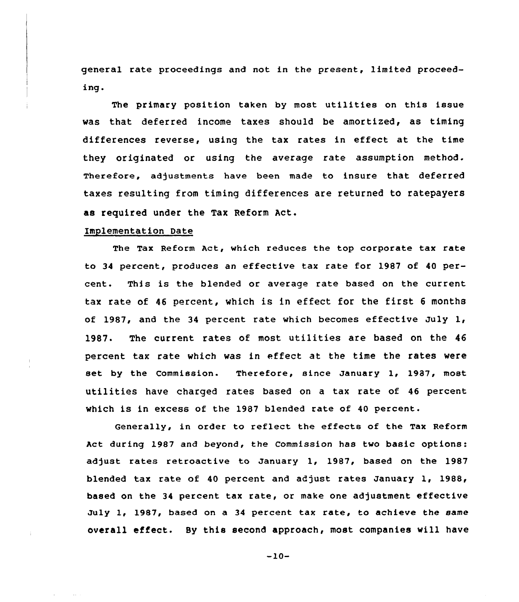general rate proceedings and not in the present, limited proceeding.

The primary position taken by most utilities on this issue vas that deferred income taxes should be amortized, as timing differences reverse, using the tax rates in effect at the time they originated or using the average rate assumption method. Therefore, adjustments have been made to insure that deferred taxes resulting from timing differences are returned to ratepayers as required under the Tax Reform Act.

### Implementation Date

The Tax Reform Act, which reduces the top corporate tax rate to 34 percent, produces an effective tax rate for 1987 of 40 percent. This is the blended or average rate based on the current tax rate of <sup>46</sup> percent, vhich is in effect for the first <sup>6</sup> months of 1987, and the 34 percent rate which becomes effective July  $1_t$ 1987. The current rates of most utilities are based on the 46 percent tax rate which vas in effect at the time the rates were set by the Commission. Therefore, since January 1, 1987, most utilities have charged rates based on <sup>a</sup> tax rate of <sup>46</sup> percent vhich is in excess of the 1987 blended rate of 40 percent.

Generally, in order to reflect the effects of the Tax Reform Act during 1987 and beyond, the Commission has two basic options: adjust rates retroactive to January 1, 1987, based on the 1987 blended tax rate of 40 percent and adjust rates January 1, 1988, based on the 34 percent tax rate, or make one adjustment effective July 1, 1987, based on a <sup>34</sup> percent tax rate, to achieve the same overall effect. By this second approach, most companies vill have

 $-10-$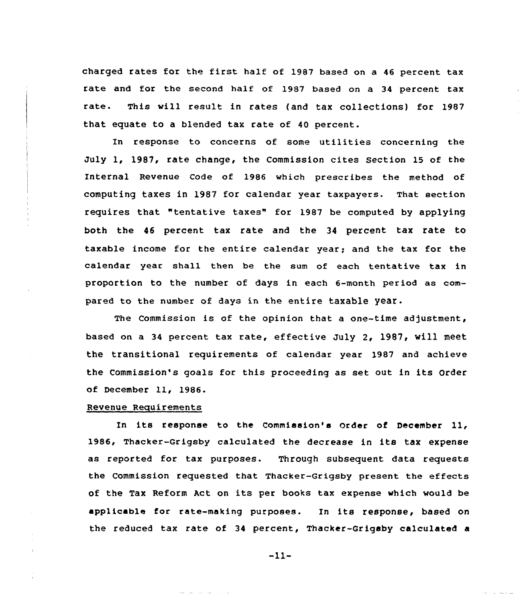charged rates for the first half of 1987 based on <sup>a</sup> <sup>46</sup> percent tax rate and for the second half of 1987 based on a 34 percent tax rate. This will result in rates (and tax collections) for 1987 that equate to a blended tax rate of 40 percent.

In response to concerns of some utilities concerning the July 1, 1987, rate change, the Commission cites section 15 of the Internal Revenue Code of 1986 which prescribes the method of computing taxes in 1987 for calendar year taxpayers. That section requires that "tentative taxes" for 1987 be computed by applying both the 46 percent tax rate and the 34 percent tax rate to taxable income for the entire calendar year; and the tax for the calendar year shall then be the sum of each tentative tax in proportion to the number of days in each 6-month period as compared to the number of days in the entire taxable year.

The Commission is of the opinion that a one-time adjustment, based on <sup>a</sup> 34 percent tax rate, effective July 2, 1987, will meet the transitional requirements of calendar year 1987 and achieve the Commission's goals for this proceeding as set out in its Order of December 11, 1986.

### Revenue Reauirements

In its response to the Commission's Order of December 11, 1986, Thacker-Grigsby calculated the decrease in its tax expense as reported for tax purposes. Through subsequent data requests the Commission requested that Thacker-Grigsby present the effects of the Tax Reform Act on its per books tax expense which would be applicable for rate-making purposes. In its response, based on the reduced tax rate of 34 percent, Thacker-Grigsby calculated a

 $-11-$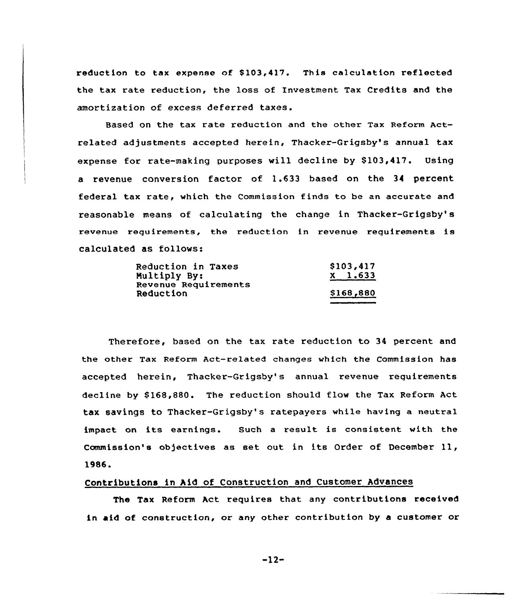reduction to tax expense of \$103,417. This calculation reflected the tax rate reduction, the loss of Investment Tax Credits and the amortization of excess deferred taxes.

Based on the tax rate reduction and the other Tax Reform Actrelated adjustments accepted herein, Thacker-Grigsby's annual tax expense for rate-making purposes will decline by \$103,417. Using a revenue conversion factor of 1.633 based on the 34 percent federal tax rate, which the Commission finds to be an accurate and reasonable means of calculating the change in Thacker-Grigsby's revenue requirements, the reduction in revenue requirements is calculated as follows:

| Reduction in Taxes   | \$103,417 |
|----------------------|-----------|
| Multiply By:         | $X$ 1.633 |
| Revenue Requirements |           |
| Reduction            | \$168,880 |

Therefore, based on the tax rate reduction to 34 percent and the other Tax Reform Act-related changes which the Commission has accepted herein, Thacker-Grigsby's annual revenue requirements decline by \$168,880. The reduction should flow the Tax Reform Act tax savings to Thacker-Grigsby's ratepayers while having a neutral impact on its earnings. Such <sup>a</sup> result is consistent with the Commission's objectives as set out in its Order of December 11, 1986.

# Contributions in hid of Construction and Customer Advances

The Tax Reform Act requires that any contributions received in aid of construction, or any other contribution by a customer or

-12-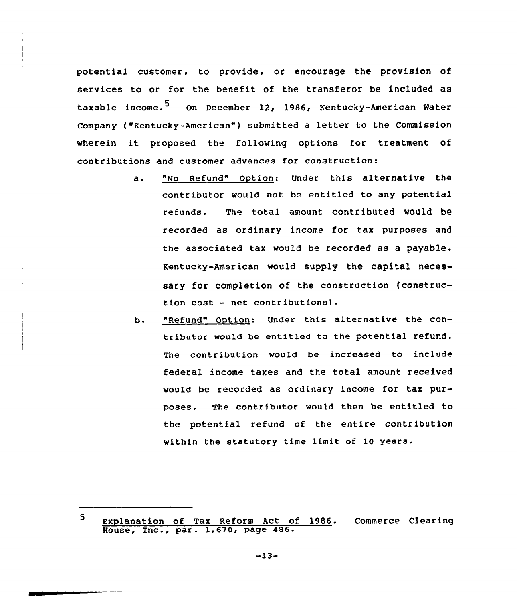potential customer, to provide, or encourage the provision of services to or for the benefit of the transferor be included as taxable income.<sup>5</sup> On December 12, 1986, Kentucky-American Water Company ("Kentucky-American"} submitted <sup>a</sup> letter to the commission wherein it proposed the following options for treatment of contributions and customer advances for construction:

- "No Refund" Option: under this alternative the  $a.$ contributor would not be entitled to any potential refunds. The total amount contributed would be recorded as ordinary income for tax purposes and the associated tax would be recorded as a payable. Kentucky-American would supply the capital necessary for completion of the construction (construction cost — net contributions}.
- b. "Refund" Option: Under this alternative the contributor would be entitled to the potential refund. The contribution would be increased to include federal income taxes and the total amount received would be recorded as ordinary income for tax purposes. The contributor would then be entitled to the potential refund of the entire contribution within the statutory time limit of 10 years.

 $-13-$ 

 $\mathbf{5}$ Explanation of Tax Reform Act of 1986. Commerce Clearin Expresserved of the Reform ACC CO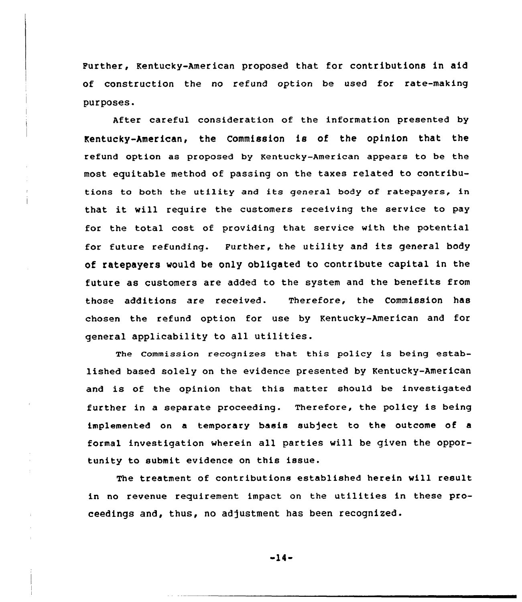Further, Kentucky-American proposed that for contributions in aid of construction the no refund option be used for rate-making purposes.

After careful consideration of the information presented by Kentucky-American, the Commission is of the opinion that the refund option as proposed by Kentucky-American appears to be the most equitable method of passing on the taxes related to contributions to both the utility and its general body of ratepayers, in that it will require the customers receiving the service to pay for the total cost of providing that service with the potential for future refunding. Further, the utility and its general body of ratepayers would be only obligated to contribute capital in the future as customers are added to the system and the benefits from those additions are received. Therefore, the Commission has chosen the refund option for use by Kentucky-American and for general applicability to all utilities.

The commission recognizes that this policy is being established based solely on the evidence presented by Kentucky-American and is of the opinion that this matter should be investigated further in a separate proceeding. Therefore, the policy is being implemented on a temporary basis sub)ect to the outcome of a formal investigation wherein all parties will be given the opportunity to submit evidence on this issue.

The treatment of contributions established herein will result in no revenue requirement impact on the utilities in these proceedings and, thus, no adjustment has been recognized.

-14-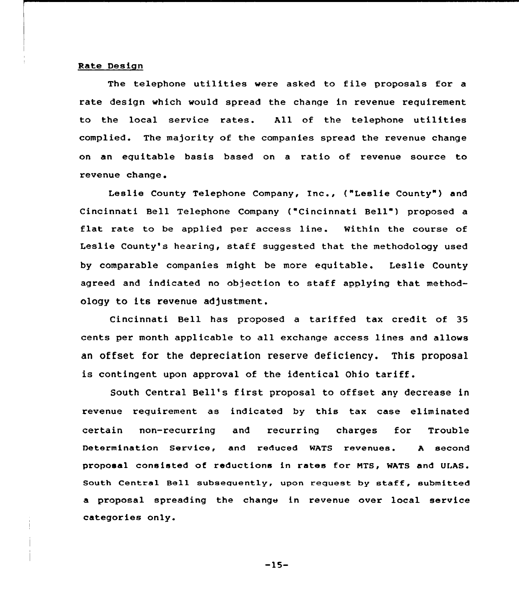#### Rate Design

The telephone utilities were asked to file proposals for <sup>a</sup> rate design which would spread the change in revenue requirement to the local service rates. All of the telephone utilities complied. The majority af the companies spread the revenue change on <mark>an e</mark>quitable basis based on a ratio of revenue source to revenue change.

Leslie County Telephone Company, Inc., ("Leslie County") and Cincinnati Bell Telephone Company ("Cincinnati Bell") proposed a flat rate to be applied per access line. Within the course of Leslie County's hearing, staff suggested that the methodology used by comparable companies might be more equitable. Leslie County agreed and indicated no objection to staff applying that methodology to its revenue adjustment.

Cincinnati Bell has proposed a tariffed tax credit of 35 cents per month applicable to all exchange access lines and allows an offset for the depreciation reserve deficiency. This proposal is cantingent upon approval of the identical Ohio tariff.

South Central Bell's first proposal to offset any decrease in revenue requirement as indicated by this tax case eliminated certain non-recurring and recurring charges for Trouble Determination Service, and reduced WATS revenues. <sup>A</sup> second proposal consisted of reductions in rates for MTS, WATS and ULAS. South Central Bell subsequently, upon request by staff, submitted a proposal spreading the change in revenue over local service categories only.

 $-15-$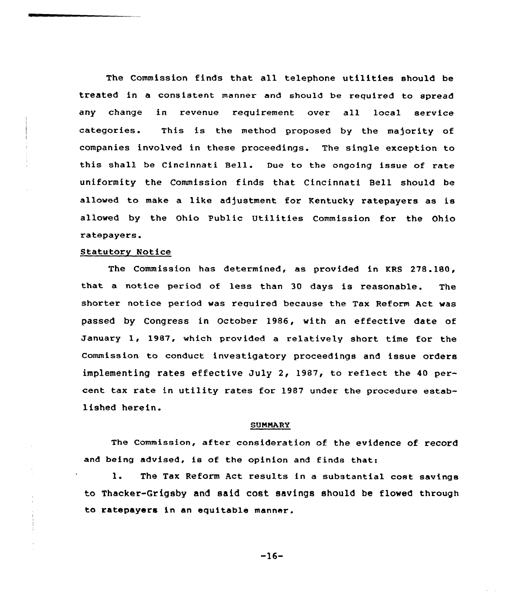The Commission finds that all telephone utilities should be treated in a consistent manner and should be required to spread any change in revenue requirement over all local service categories. This is the method proposed by the majority of companies involved in these proceedings. The single exception to this shall be Cincinnati Bell. Due to the ongoing issue of rate uniformity the Commission finds that Cincinnati Bell should be allowed to make a like adjustment for Kentucky ratepayers as is allowed by the Ohio Public Utilities Commission for the Ohio ratepayers.

### Statutory Notice

The Commission has determined, as provided in KRS 278.180, that a notice period of less than 30 days is reasonable. The shorter notice period was required because the Tax Reform Aet was passed by Congress in October 1986, with an effective date of January 1, 1987, which provided <sup>a</sup> relatively short time for the Commission to conduct investigatory proceedings and issue orders implementing rates effective July 2, 1987, to reflect the 40 percent tax rate in utility rates for 1987 under the procedure established herein.

### **SUMMARY**

The Commission, after consideration of the evidence of record and being advised, is of the opinion and finds that:

1. The Tax Reform Act results in <sup>a</sup> substantial cost savings to Thacker-Grigsby and said cost savings should be flowed through to ratepayers in an equitable manner.

-16-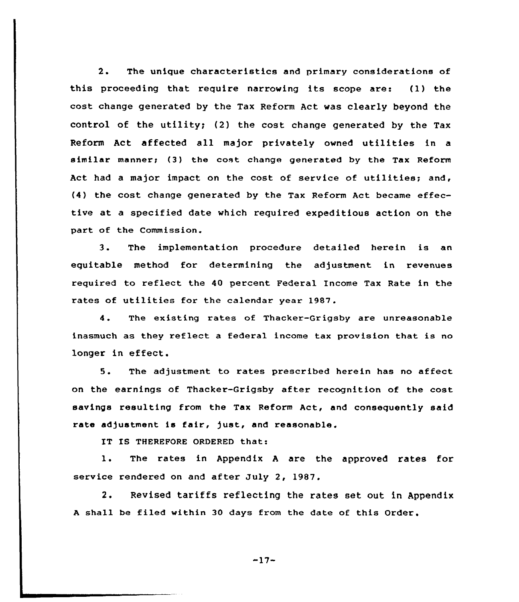2. The unique characteristics and primary considerations of this proceeding that require narrowing its scope are: (1) the cost change generated by the Tax Reform Act was clearly beyond the control of the utility; (2) the cost change generated by the Tax Reform Act affected all major privately owned utilities in <sup>a</sup> similar manner; (3) the cost change generated by the Tax Reform Act had <sup>a</sup> major impact on the cost of service of utilities; and, (4) the cost change generated by the Tax Reform Act became effective at a specified date which required expeditious action on the part of the Commission.

3. The implementation procedure detailed herein is an equitable method for determining the adjustment in revenues required to reflect the 40 percent Federal Income Tax Rate in the rates of utilities for the calendar year 1987.

4. The existing rates of Thacker-Grigsby are unreasonable inasmuch as they reflect a federal income tax provision that is no longer in effect.

5. The adjustment to rates prescribed herein has no affect on the earnings of Thacker-Grigsby after recognition of the cost savings resulting from the Tax Reform Act, and consequently said rate adjustment is fair, just, and reasonable.

IT IS THEREFORE ORDERED that:

 $\mathbf{1}$ . The rates in Appendix <sup>A</sup> are the approved rates for service rendered on and after July 2, 1987.

2. Revised tariffs reflecting the rates set out in Appendix A shall be filed within 30 days from the date of this Order.

 $-17-$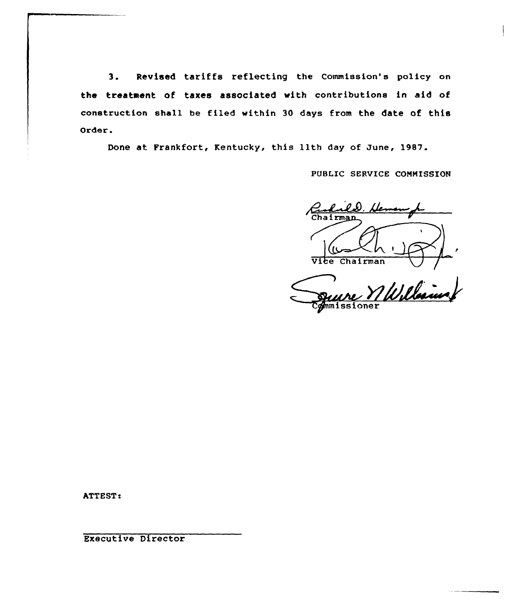3. Revised tariffs reflecting the Commission's policy on the treatment of taxes associated with contributions in aid of construction shall be filed within 30 days from the date of this Order.

Done at Frankfort, Kentucky, this 11th day of June, 1987.

PUBLIC SERVICE COMMISSION

hairman Vice Chairman

William missioner

ATTEST:

Executive Director